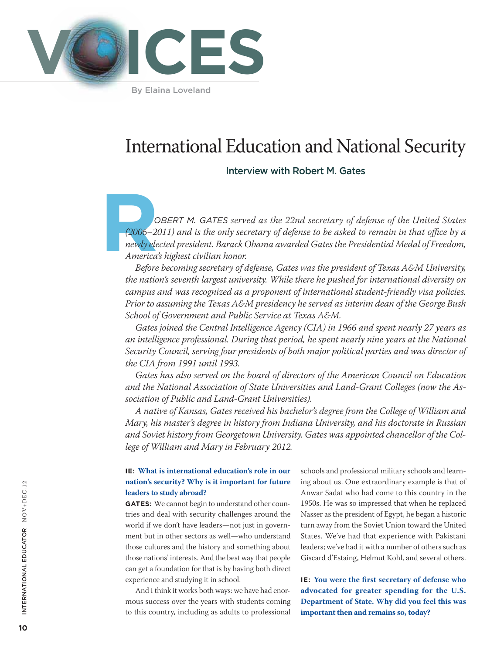

By Elaina Loveland

# International Education and National Security

# Interview with Robert M. Gates

C<br>(2006–20<br>
newly ele<br>
America<br>
Refore  *obert M. Gates served as the 22nd secretary of defense of the United States (2006–2011) and is the only secretary of defense to be asked to remain in that office by a newly elected president. Barack Obama awarded Gates the Presidential Medal of Freedom, America's highest civilian honor.*

*Before becoming secretary of defense, Gates was the president of Texas A&M University, the nation's seventh largest university. While there he pushed for international diversity on campus and was recognized as a proponent of international student-friendly visa policies. Prior to assuming the Texas A&M presidency he served as interim dean of the George Bush School of Government and Public Service at Texas A&M.*

*Gates joined the Central Intelligence Agency (CIA) in 1966 and spent nearly 27 years as an intelligence professional. During that period, he spent nearly nine years at the National Security Council, serving four presidents of both major political parties and was director of the CIA from 1991 until 1993.* 

*Gates has also served on the board of directors of the American Council on Education and the National Association of State Universities and Land-Grant Colleges (now the Association of Public and Land-Grant Universities).* 

*A native of Kansas, Gates received his bachelor's degree from the College of William and Mary, his master's degree in history from Indiana University, and his doctorate in Russian and Soviet history from Georgetown University. Gates was appointed chancellor of the College of William and Mary in February 2012.* 

### **IE: What is international education's role in our nation's security? Why is it important for future leaders to study abroad?**

**GATES:** We cannot begin to understand other countries and deal with security challenges around the world if we don't have leaders—not just in government but in other sectors as well—who understand those cultures and the history and something about those nations' interests. And the best way that people can get a foundation for that is by having both direct experience and studying it in school.

And I think it works both ways: we have had enormous success over the years with students coming to this country, including as adults to professional

schools and professional military schools and learning about us. One extraordinary example is that of Anwar Sadat who had come to this country in the 1950s. He was so impressed that when he replaced Nasser as the president of Egypt, he began a historic turn away from the Soviet Union toward the United States. We've had that experience with Pakistani leaders; we've had it with a number of others such as Giscard d'Estaing, Helmut Kohl, and several others.

**IE: You were the first secretary of defense who advocated for greater spending for the U.S. Department of State. Why did you feel this was iE:** You were the first secretary of defense who advocated for greater spending for the U.S. Department of State. Why did you feel this was important then and remains so, today?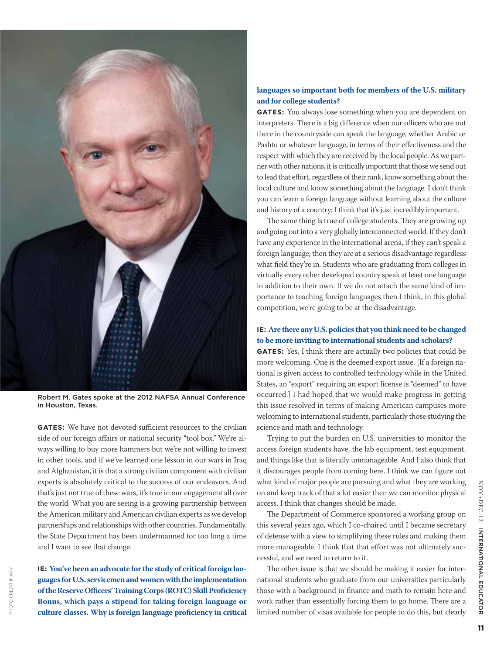

Robert M. Gates spoke at the 2012 NAFSA Annual Conference in Houston, Texas.

**GATES:** We have not devoted sufficient resources to the civilian side of our foreign affairs or national security "tool box." We're always willing to buy more hammers but we're not willing to invest in other tools, and if we've learned one lesson in our wars in Iraq and Afghanistan, it is that a strong civilian component with civilian experts is absolutely critical to the success of our endeavors. And that's just not true of these wars, it's true in our engagement all over the world. What you are seeing is a growing partnership between the American military and American civilian experts as we develop partnerships and relationships with other countries. Fundamentally, the State Department has been undermanned for too long a time and I want to see that change.

**IE: You've been an advocate for the study of critical foreign languages for U.S. servicemen and women with the implementation of the Reserve Officers' Training Corps (ROTC) Skill Proficiency Bonus, which pays a stipend for taking foreign language or culture classes. Why is foreign language proficiency in critical** 

photo credit if any

PHOTO CREDITIF ANY

#### **languages so important both for members of the U.S. military and for college students?**

**GATES:** You always lose something when you are dependent on interpreters. There is a big difference when our officers who are out there in the countryside can speak the language, whether Arabic or Pashtu or whatever language, in terms of their effectiveness and the respect with which they are received by the local people. As we partner with other nations, it is critically important that those we send out to lead that effort, regardless of their rank, know something about the local culture and know something about the language. I don't think you can learn a foreign language without learning about the culture and history of a country; I think that it's just incredibly important.

The same thing is true of college students. They are growing up and going out into a very globally interconnected world. If they don't have any experience in the international arena, if they can't speak a foreign language, then they are at a serious disadvantage regardless what field they're in. Students who are graduating from colleges in virtually every other developed country speak at least one language in addition to their own. If we do not attach the same kind of importance to teaching foreign languages then I think, in this global competition, we're going to be at the disadvantage.

## **IE: Are there any U.S. policies that you think need to be changed to be more inviting to international students and scholars?**

**GATES:** Yes, I think there are actually two policies that could be more welcoming. One is the deemed export issue. [If a foreign national is given access to controlled technology while in the United States, an "export" requiring an export license is "deemed" to have occurred.] I had hoped that we would make progress in getting this issue resolved in terms of making American campuses more welcoming to international students, particularly those studying the science and math and technology.

Trying to put the burden on U.S. universities to monitor the access foreign students have, the lab equipment, test equipment, and things like that is literally unmanageable. And I also think that it discourages people from coming here. I think we can figure out what kind of major people are pursuing and what they are working on and keep track of that a lot easier then we can monitor physical access. I think that changes should be made.

The Department of Commerce sponsored a working group on this several years ago, which I co-chaired until I became secretary of defense with a view to simplifying these rules and making them more manageable. I think that that effort was not ultimately successful, and we need to return to it.

The other issue is that we should be making it easier for international students who graduate from our universities particularly those with a background in finance and math to remain here and work rather than essentially forcing them to go home. There are a limited number of visas available for people to do this, but clearly